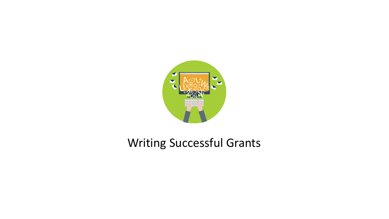

# Writing Successful Grants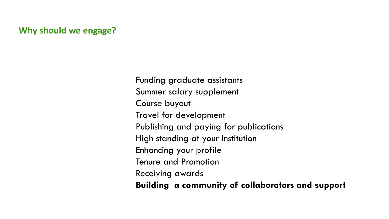# **Why should we engage?**

Funding graduate assistants Summer salary supplement Course buyout Travel for development Publishing and paying for publications High standing at your Institution Enhancing your profile Tenure and Promotion Receiving awards **Building a community of collaborators and support**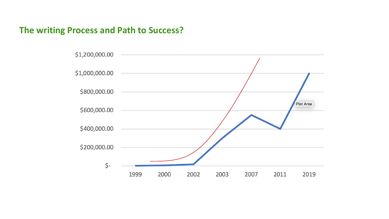# **The writing Process and Path to Success?**

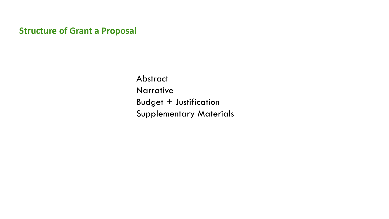**Structure of Grant a Proposal**

Abstract Narrative Budget + Justification Supplementary Materials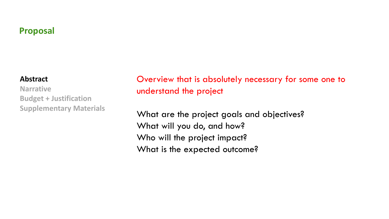# **Proposal**

#### **Abstract**

**Narrative Budget + Justification Supplementary Materials**

Overview that is absolutely necessary for some one to understand the project

What are the project goals and objectives? What will you do, and how? Who will the project impact? What is the expected outcome?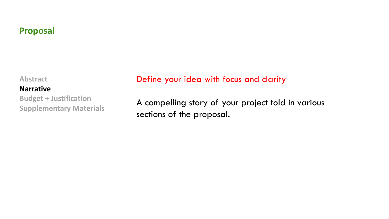# **Proposal**

**Abstract**

#### **Narrative**

**Budget + Justification Supplementary Materials** 

# Define your idea with focus and clarity

A compelling story of your project told in various sections of the proposal.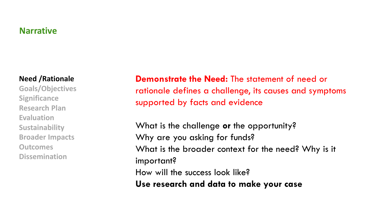#### **Need /Rationale**

**Goals/Objectives Significance Research Plan Evaluation Sustainability Broader Impacts Outcomes Dissemination**

**Demonstrate the Need:** The statement of need or rationale defines a challenge, its causes and symptoms supported by facts and evidence

What is the challenge **or** the opportunity? Why are you asking for funds? What is the broader context for the need? Why is it important? How will the success look like? **Use research and data to make your case**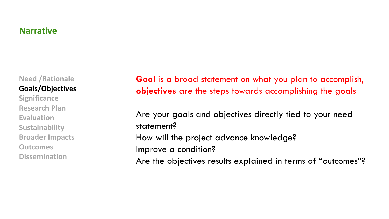**Need /Rationale Goals/Objectives**

**Significance Research Plan Evaluation Sustainability Broader Impacts Outcomes Dissemination**

**Goal** is a broad statement on what you plan to accomplish, **objectives** are the steps towards accomplishing the goals

Are your goals and objectives directly tied to your need statement? How will the project advance knowledge? Improve a condition? Are the objectives results explained in terms of "outcomes"?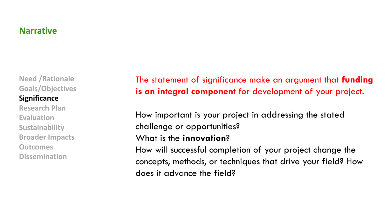**Need /Rationale Goals/Objectives Significance**

**Research Plan Evaluation Sustainability Broader Impacts Outcomes Dissemination**

The statement of significance make an argument that **funding is an integral component** for development of your project.

How important is your project in addressing the stated challenge or opportunities?

### What is the **innovation**?

How will successful completion of your project change the concepts, methods, or techniques that drive your field? How does it advance the field?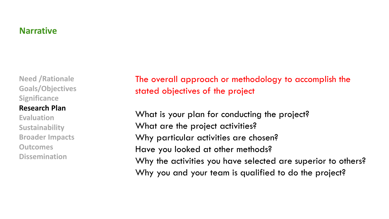**Need /Rationale Goals/Objectives Significance**

#### **Research Plan**

**Evaluation Sustainability Broader Impacts Outcomes Dissemination**

The overall approach or methodology to accomplish the stated objectives of the project

What is your plan for conducting the project? What are the project activities? Why particular activities are chosen? Have you looked at other methods? Why the activities you have selected are superior to others? Why you and your team is qualified to do the project?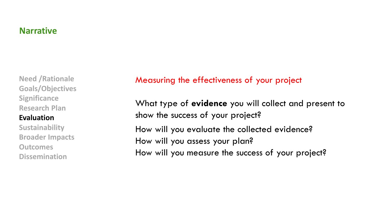**Need /Rationale Goals/Objectives Significance Research Plan**

#### **Evaluation**

**Sustainability Broader Impacts Outcomes Dissemination**

#### Measuring the effectiveness of your project

What type of **evidence** you will collect and present to show the success of your project? How will you evaluate the collected evidence? How will you assess your plan? How will you measure the success of your project?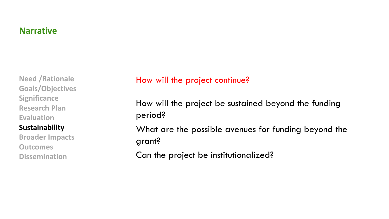**Need /Rationale Goals/Objectives Significance Research Plan Evaluation Sustainability Broader Impacts Outcomes**

**Dissemination**

# How will the project continue?

How will the project be sustained beyond the funding period? What are the possible avenues for funding beyond the grant?

Can the project be institutionalized?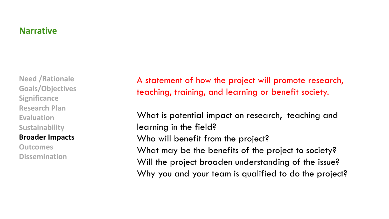**Need /Rationale Goals/Objectives Significance Research Plan Evaluation Sustainability**

#### **Broader Impacts**

**Outcomes Dissemination** A statement of how the project will promote research, teaching, training, and learning or benefit society.

What is potential impact on research, teaching and learning in the field? Who will benefit from the project? What may be the benefits of the project to society? Will the project broaden understanding of the issue? Why you and your team is qualified to do the project?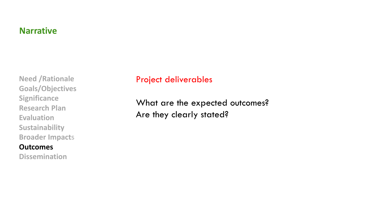**Need /Rationale Goals/Objectives Significance Research Plan Evaluation Sustainability Broader Impacts**

# **Outcomes**

**Dissemination**

# Project deliverables

What are the expected outcomes? Are they clearly stated?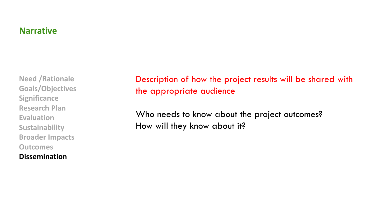**Need /Rationale Goals/Objectives Significance Research Plan Evaluation Sustainability Broader Impacts Outcomes Dissemination**

Description of how the project results will be shared with the appropriate audience

Who needs to know about the project outcomes? How will they know about it?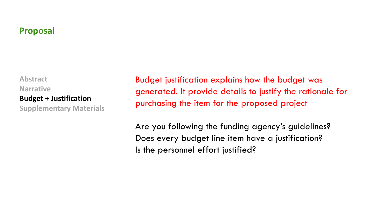# **Proposal**

**Abstract Narrative Budget + Justification Supplementary Materials**  Budget justification explains how the budget was generated. It provide details to justify the rationale for purchasing the item for the proposed project

Are you following the funding agency's guidelines? Does every budget line item have a justification? Is the personnel effort justified?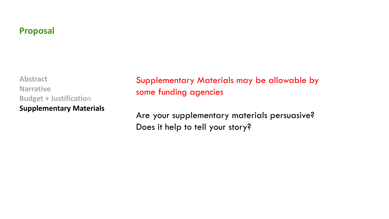# **Proposal**

**Abstract Narrative Budget + Justification Supplementary Materials**  Supplementary Materials may be allowable by some funding agencies

Are your supplementary materials persuasive? Does it help to tell your story?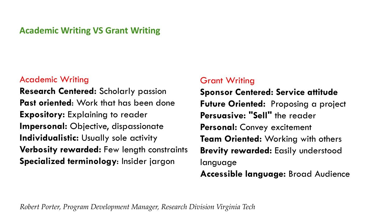# **Academic Writing VS Grant Writing**

#### Academic Writing

**Research Centered:** Scholarly passion **Past oriented**: Work that has been done **Expository:** Explaining to reader **Impersonal:** Objective, dispassionate **Individualistic:** Usually sole activity **Verbosity rewarded:** Few length constraints **Specialized terminology**: Insider jargon

# Grant Writing

**Sponsor Centered: Service attitude Future Oriented:** Proposing a project **Persuasive: "Sell"** the reader **Personal:** Convey excitement **Team Oriented:** Working with others **Brevity rewarded:** Easily understood language **Accessible language:** Broad Audience

*Robert Porter, Program Development Manager, Research Division Virginia Tech*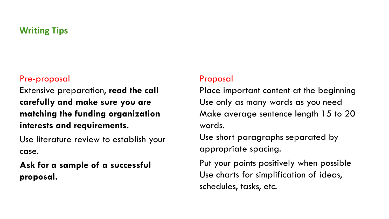# **Writing Tips**

#### Pre-proposal

Extensive preparation, **read the call carefully and make sure you are matching the funding organization interests and requirements.** 

Use literature review to establish your case.

**Ask for a sample of a successful proposal.**

### Proposal

Place important content at the beginning Use only as many words as you need Make average sentence length 15 to 20 words.

Use short paragraphs separated by appropriate spacing.

Put your points positively when possible Use charts for simplification of ideas, schedules, tasks, etc.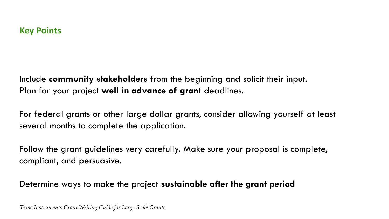Include **community stakeholders** from the beginning and solicit their input. Plan for your project **well in advance of gran**t deadlines.

For federal grants or other large dollar grants, consider allowing yourself at least several months to complete the application.

Follow the grant guidelines very carefully. Make sure your proposal is complete, compliant, and persuasive.

Determine ways to make the project **sustainable after the grant period**

*Texas Instruments Grant Writing Guide for Large Scale Grants*